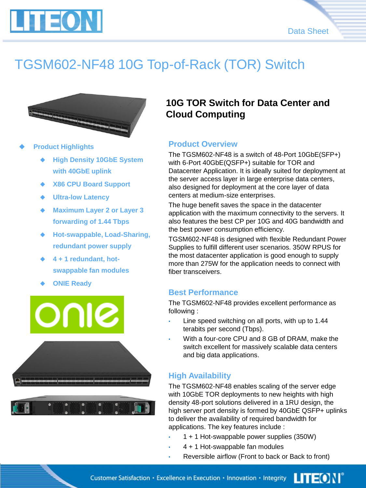

# TGSM602-NF48 10G Top-of-Rack (TOR) Switch



- ◆ **Product Highlights** 
	- **High Density 10GbE System with 40GbE uplink**
	- **X86 CPU Board Support**
	- **Ultra-low Latency**
	- **Maximum Layer 2 or Layer 3 forwarding of 1.44 Tbps**
	- ◆ **Hot-swappable, Load-Sharing, redundant power supply**
	- ◆ **4 + 1 redundant, hotswappable fan modules**
	- **ONIE Ready**



### **10G TOR Switch for Data Center and Cloud Computing**

#### **Product Overview**

The TGSM602-NF48 is a switch of 48-Port 10GbE(SFP+) with 6-Port 40GbE(QSFP+) suitable for TOR and Datacenter Application. It is ideally suited for deployment at the server access layer in large enterprise data centers, also designed for deployment at the core layer of data centers at medium-size enterprises.

The huge benefit saves the space in the datacenter application with the maximum connectivity to the servers. It also features the best CP per 10G and 40G bandwidth and the best power consumption efficiency.

TGSM602-NF48 is designed with flexible Redundant Power Supplies to fulfill different user scenarios. 350W RPUS for the most datacenter application is good enough to supply more than 275W for the application needs to connect with fiber transceivers.

#### **Best Performance**

The TGSM602-NF48 provides excellent performance as following :

- Line speed switching on all ports, with up to 1.44 terabits per second (Tbps).
- With a four-core CPU and 8 GB of DRAM, make the switch excellent for massively scalable data centers and big data applications.

### **High Availability**

The TGSM602-NF48 enables scaling of the server edge with 10GbE TOR deployments to new heights with high density 48-port solutions delivered in a 1RU design, the high server port density is formed by 40GbE QSFP+ uplinks to deliver the availability of required bandwidth for applications. The key features include :

- 1 + 1 Hot-swappable power supplies (350W)
- 4 + 1 Hot-swappable fan modules
- Reversible airflow (Front to back or Back to front)